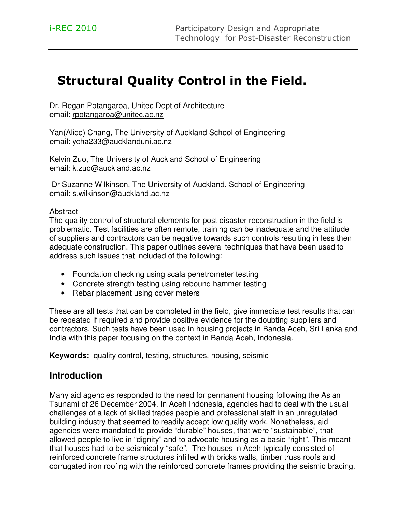# Structural Quality Control in the Field.

Dr. Regan Potangaroa, Unitec Dept of Architecture email: rpotangaroa@unitec.ac.nz

Yan(Alice) Chang, The University of Auckland School of Engineering email: ycha233@aucklanduni.ac.nz

Kelvin Zuo, The University of Auckland School of Engineering email: k.zuo@auckland.ac.nz

 Dr Suzanne Wilkinson, The University of Auckland, School of Engineering email: s.wilkinson@auckland.ac.nz

#### **Abstract**

The quality control of structural elements for post disaster reconstruction in the field is problematic. Test facilities are often remote, training can be inadequate and the attitude of suppliers and contractors can be negative towards such controls resulting in less then adequate construction. This paper outlines several techniques that have been used to address such issues that included of the following:

- Foundation checking using scala penetrometer testing
- Concrete strength testing using rebound hammer testing
- Rebar placement using cover meters

These are all tests that can be completed in the field, give immediate test results that can be repeated if required and provide positive evidence for the doubting suppliers and contractors. Such tests have been used in housing projects in Banda Aceh, Sri Lanka and India with this paper focusing on the context in Banda Aceh, Indonesia.

**Keywords:** quality control, testing, structures, housing, seismic

# **Introduction**

Many aid agencies responded to the need for permanent housing following the Asian Tsunami of 26 December 2004. In Aceh Indonesia, agencies had to deal with the usual challenges of a lack of skilled trades people and professional staff in an unregulated building industry that seemed to readily accept low quality work. Nonetheless, aid agencies were mandated to provide "durable" houses, that were "sustainable", that allowed people to live in "dignity" and to advocate housing as a basic "right". This meant that houses had to be seismically "safe". The houses in Aceh typically consisted of reinforced concrete frame structures infilled with bricks walls, timber truss roofs and corrugated iron roofing with the reinforced concrete frames providing the seismic bracing.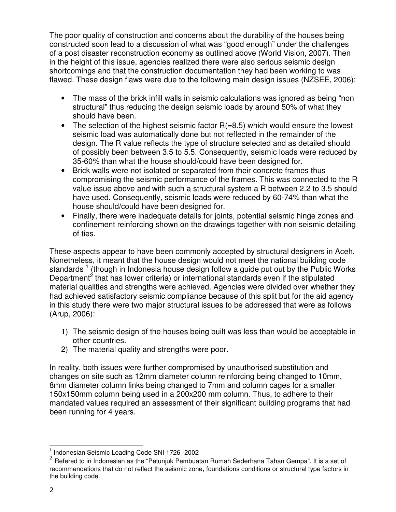The poor quality of construction and concerns about the durability of the houses being constructed soon lead to a discussion of what was "good enough" under the challenges of a post disaster reconstruction economy as outlined above (World Vision, 2007). Then in the height of this issue, agencies realized there were also serious seismic design shortcomings and that the construction documentation they had been working to was flawed. These design flaws were due to the following main design issues (NZSEE, 2006):

- The mass of the brick infill walls in seismic calculations was ignored as being "non structural" thus reducing the design seismic loads by around 50% of what they should have been.
- The selection of the highest seismic factor  $R(=8.5)$  which would ensure the lowest seismic load was automatically done but not reflected in the remainder of the design. The R value reflects the type of structure selected and as detailed should of possibly been between 3.5 to 5.5. Consequently, seismic loads were reduced by 35-60% than what the house should/could have been designed for.
- Brick walls were not isolated or separated from their concrete frames thus compromising the seismic performance of the frames. This was connected to the R value issue above and with such a structural system a R between 2.2 to 3.5 should have used. Consequently, seismic loads were reduced by 60-74% than what the house should/could have been designed for.
- Finally, there were inadequate details for joints, potential seismic hinge zones and confinement reinforcing shown on the drawings together with non seismic detailing of ties.

These aspects appear to have been commonly accepted by structural designers in Aceh. Nonetheless, it meant that the house design would not meet the national building code standards  $^1$  (though in Indonesia house design follow a guide put out by the Public Works Department<sup>2</sup> that has lower criteria) or international standards even if the stipulated material qualities and strengths were achieved. Agencies were divided over whether they had achieved satisfactory seismic compliance because of this split but for the aid agency in this study there were two major structural issues to be addressed that were as follows (Arup, 2006):

- 1) The seismic design of the houses being built was less than would be acceptable in other countries.
- 2) The material quality and strengths were poor.

In reality, both issues were further compromised by unauthorised substitution and changes on site such as 12mm diameter column reinforcing being changed to 10mm, 8mm diameter column links being changed to 7mm and column cages for a smaller 150x150mm column being used in a 200x200 mm column. Thus, to adhere to their mandated values required an assessment of their significant building programs that had been running for 4 years.

 1 Indonesian Seismic Loading Code SNI 1726 -2002

<sup>&</sup>lt;sup>2</sup> Refered to in Indonesian as the "Petunjuk Pembuatan Rumah Sederhana Tahan Gempa". It is a set of recommendations that do not reflect the seismic zone, foundations conditions or structural type factors in the building code.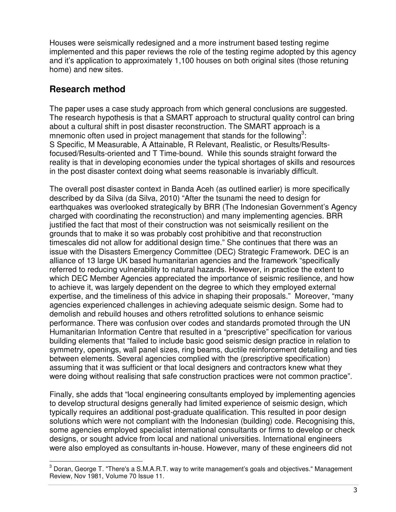Houses were seismically redesigned and a more instrument based testing regime implemented and this paper reviews the role of the testing regime adopted by this agency and it's application to approximately 1,100 houses on both original sites (those retuning home) and new sites.

# **Research method**

The paper uses a case study approach from which general conclusions are suggested. The research hypothesis is that a SMART approach to structural quality control can bring about a cultural shift in post disaster reconstruction. The SMART approach is a mnemonic often used in project management that stands for the following<sup>3</sup>: S Specific, M Measurable, A Attainable, R Relevant, Realistic, or Results/Resultsfocused/Results-oriented and T Time-bound. While this sounds straight forward the reality is that in developing economies under the typical shortages of skills and resources in the post disaster context doing what seems reasonable is invariably difficult.

The overall post disaster context in Banda Aceh (as outlined earlier) is more specifically described by da Silva (da Silva, 2010) "After the tsunami the need to design for earthquakes was overlooked strategically by BRR (The Indonesian Government's Agency charged with coordinating the reconstruction) and many implementing agencies. BRR justified the fact that most of their construction was not seismically resilient on the grounds that to make it so was probably cost prohibitive and that reconstruction timescales did not allow for additional design time." She continues that there was an issue with the Disasters Emergency Committee (DEC) Strategic Framework. DEC is an alliance of 13 large UK based humanitarian agencies and the framework "specifically referred to reducing vulnerability to natural hazards. However, in practice the extent to which DEC Member Agencies appreciated the importance of seismic resilience, and how to achieve it, was largely dependent on the degree to which they employed external expertise, and the timeliness of this advice in shaping their proposals." Moreover, "many agencies experienced challenges in achieving adequate seismic design. Some had to demolish and rebuild houses and others retrofitted solutions to enhance seismic performance. There was confusion over codes and standards promoted through the UN Humanitarian Information Centre that resulted in a "prescriptive" specification for various building elements that "failed to include basic good seismic design practice in relation to symmetry, openings, wall panel sizes, ring beams, ductile reinforcement detailing and ties between elements. Several agencies complied with the (prescriptive specification) assuming that it was sufficient or that local designers and contractors knew what they were doing without realising that safe construction practices were not common practice".

Finally, she adds that "local engineering consultants employed by implementing agencies to develop structural designs generally had limited experience of seismic design, which typically requires an additional post-graduate qualification. This resulted in poor design solutions which were not compliant with the Indonesian (building) code. Recognising this, some agencies employed specialist international consultants or firms to develop or check designs, or sought advice from local and national universities. International engineers were also employed as consultants in-house. However, many of these engineers did not

 3 Doran, George T. "There's a S.M.A.R.T. way to write management's goals and objectives." Management Review, Nov 1981, Volume 70 Issue 11.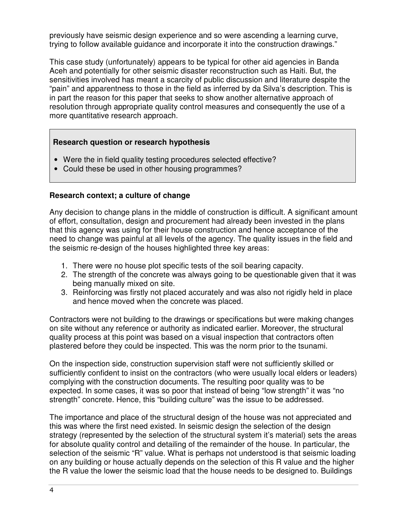previously have seismic design experience and so were ascending a learning curve, trying to follow available guidance and incorporate it into the construction drawings."

This case study (unfortunately) appears to be typical for other aid agencies in Banda Aceh and potentially for other seismic disaster reconstruction such as Haiti. But, the sensitivities involved has meant a scarcity of public discussion and literature despite the "pain" and apparentness to those in the field as inferred by da Silva's description. This is in part the reason for this paper that seeks to show another alternative approach of resolution through appropriate quality control measures and consequently the use of a more quantitative research approach.

### **Research question or research hypothesis**

- Were the in field quality testing procedures selected effective?
- Could these be used in other housing programmes?

### **Research context; a culture of change**

Any decision to change plans in the middle of construction is difficult. A significant amount of effort, consultation, design and procurement had already been invested in the plans that this agency was using for their house construction and hence acceptance of the need to change was painful at all levels of the agency. The quality issues in the field and the seismic re-design of the houses highlighted three key areas:

- 1. There were no house plot specific tests of the soil bearing capacity.
- 2. The strength of the concrete was always going to be questionable given that it was being manually mixed on site.
- 3. Reinforcing was firstly not placed accurately and was also not rigidly held in place and hence moved when the concrete was placed.

Contractors were not building to the drawings or specifications but were making changes on site without any reference or authority as indicated earlier. Moreover, the structural quality process at this point was based on a visual inspection that contractors often plastered before they could be inspected. This was the norm prior to the tsunami.

On the inspection side, construction supervision staff were not sufficiently skilled or sufficiently confident to insist on the contractors (who were usually local elders or leaders) complying with the construction documents. The resulting poor quality was to be expected. In some cases, it was so poor that instead of being "low strength" it was "no strength" concrete. Hence, this "building culture" was the issue to be addressed.

The importance and place of the structural design of the house was not appreciated and this was where the first need existed. In seismic design the selection of the design strategy (represented by the selection of the structural system it's material) sets the areas for absolute quality control and detailing of the remainder of the house. In particular, the selection of the seismic "R" value. What is perhaps not understood is that seismic loading on any building or house actually depends on the selection of this R value and the higher the R value the lower the seismic load that the house needs to be designed to. Buildings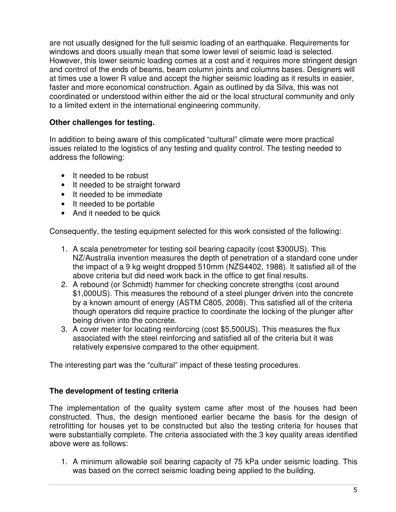are not usually designed for the full seismic loading of an earthquake. Requirements for windows and doors usually mean that some lower level of seismic load is selected. However, this lower seismic loading comes at a cost and it requires more stringent design and control of the ends of beams, beam column joints and columns bases. Designers will at times use a lower R value and accept the higher seismic loading as it results in easier, faster and more economical construction. Again as outlined by da Silva, this was not coordinated or understood within either the aid or the local structural community and only to a limited extent in the international engineering community.

### **Other challenges for testing.**

In addition to being aware of this complicated "cultural" climate were more practical issues related to the logistics of any testing and quality control. The testing needed to address the following:

- It needed to be robust
- It needed to be straight forward
- It needed to be immediate
- It needed to be portable
- And it needed to be quick

Consequently, the testing equipment selected for this work consisted of the following:

- 1. A scala penetrometer for testing soil bearing capacity (cost \$300US). This NZ/Australia invention measures the depth of penetration of a standard cone under the impact of a 9 kg weight dropped 510mm (NZS4402, 1988). It satisfied all of the above criteria but did need work back in the office to get final results.
- 2. A rebound (or Schmidt) hammer for checking concrete strengths (cost around \$1,000US). This measures the rebound of a steel plunger driven into the concrete by a known amount of energy (ASTM C805, 2008). This satisfied all of the criteria though operators did require practice to coordinate the locking of the plunger after being driven into the concrete.
- 3. A cover meter for locating reinforcing (cost \$5,500US). This measures the flux associated with the steel reinforcing and satisfied all of the criteria but it was relatively expensive compared to the other equipment.

The interesting part was the "cultural" impact of these testing procedures.

## **The development of testing criteria**

The implementation of the quality system came after most of the houses had been constructed. Thus, the design mentioned earlier became the basis for the design of retrofitting for houses yet to be constructed but also the testing criteria for houses that were substantially complete. The criteria associated with the 3 key quality areas identified above were as follows:

1. A minimum allowable soil bearing capacity of 75 kPa under seismic loading. This was based on the correct seismic loading being applied to the building.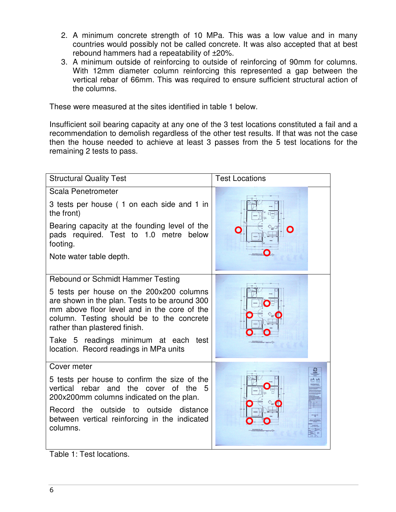- 2. A minimum concrete strength of 10 MPa. This was a low value and in many countries would possibly not be called concrete. It was also accepted that at best rebound hammers had a repeatability of ±20%.
- 3. A minimum outside of reinforcing to outside of reinforcing of 90mm for columns. With 12mm diameter column reinforcing this represented a gap between the vertical rebar of 66mm. This was required to ensure sufficient structural action of the columns.

These were measured at the sites identified in table 1 below.

Insufficient soil bearing capacity at any one of the 3 test locations constituted a fail and a recommendation to demolish regardless of the other test results. If that was not the case then the house needed to achieve at least 3 passes from the 5 test locations for the remaining 2 tests to pass.

| <b>Structural Quality Test</b>                                                                                                                                                                                                                                                                                                                | <b>Test Locations</b>      |  |  |
|-----------------------------------------------------------------------------------------------------------------------------------------------------------------------------------------------------------------------------------------------------------------------------------------------------------------------------------------------|----------------------------|--|--|
| Scala Penetrometer<br>3 tests per house (1 on each side and 1 in<br>the front)<br>Bearing capacity at the founding level of the<br>pads required. Test to 1.0 metre below<br>footing.<br>Note water table depth.                                                                                                                              |                            |  |  |
| Rebound or Schmidt Hammer Testing<br>5 tests per house on the 200x200 columns<br>are shown in the plan. Tests to be around 300<br>mm above floor level and in the core of the<br>column. Testing should be to the concrete<br>rather than plastered finish.<br>Take 5 readings minimum at each test<br>location. Record readings in MPa units | <b>FLOOK FLAN</b>          |  |  |
| Cover meter<br>5 tests per house to confirm the size of the<br>vertical rebar and<br>the<br>cover of<br>the<br>200x200mm columns indicated on the plan.<br>Record the outside to outside distance<br>between vertical reinforcing in the indicated<br>columns.                                                                                | pA aA<br><b>FLOOR PLAN</b> |  |  |

Table 1: Test locations.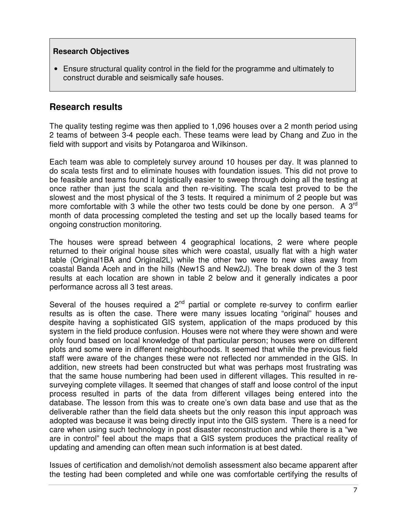#### **Research Objectives**

• Ensure structural quality control in the field for the programme and ultimately to construct durable and seismically safe houses.

## **Research results**

The quality testing regime was then applied to 1,096 houses over a 2 month period using 2 teams of between 3-4 people each. These teams were lead by Chang and Zuo in the field with support and visits by Potangaroa and Wilkinson.

Each team was able to completely survey around 10 houses per day. It was planned to do scala tests first and to eliminate houses with foundation issues. This did not prove to be feasible and teams found it logistically easier to sweep through doing all the testing at once rather than just the scala and then re-visiting. The scala test proved to be the slowest and the most physical of the 3 tests. It required a minimum of 2 people but was more comfortable with 3 while the other two tests could be done by one person. A  $3<sup>rd</sup>$ month of data processing completed the testing and set up the locally based teams for ongoing construction monitoring.

The houses were spread between 4 geographical locations, 2 were where people returned to their original house sites which were coastal, usually flat with a high water table (Original1BA and Original2L) while the other two were to new sites away from coastal Banda Aceh and in the hills (New1S and New2J). The break down of the 3 test results at each location are shown in table 2 below and it generally indicates a poor performance across all 3 test areas.

Several of the houses required a  $2^{nd}$  partial or complete re-survey to confirm earlier results as is often the case. There were many issues locating "original" houses and despite having a sophisticated GIS system, application of the maps produced by this system in the field produce confusion. Houses were not where they were shown and were only found based on local knowledge of that particular person; houses were on different plots and some were in different neighbourhoods. It seemed that while the previous field staff were aware of the changes these were not reflected nor ammended in the GIS. In addition, new streets had been constructed but what was perhaps most frustrating was that the same house numbering had been used in different villages. This resulted in resurveying complete villages. It seemed that changes of staff and loose control of the input process resulted in parts of the data from different villages being entered into the database. The lesson from this was to create one's own data base and use that as the deliverable rather than the field data sheets but the only reason this input approach was adopted was because it was being directly input into the GIS system. There is a need for care when using such technology in post disaster reconstruction and while there is a "we are in control" feel about the maps that a GIS system produces the practical reality of updating and amending can often mean such information is at best dated.

Issues of certification and demolish/not demolish assessment also became apparent after the testing had been completed and while one was comfortable certifying the results of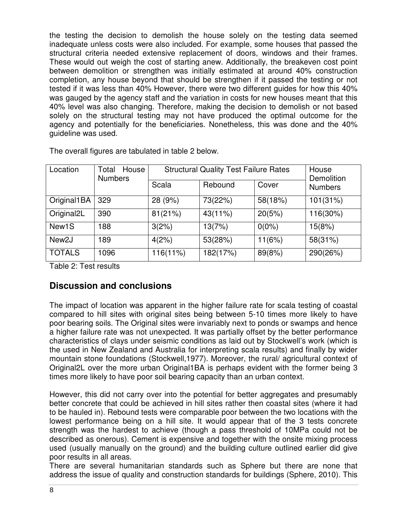the testing the decision to demolish the house solely on the testing data seemed inadequate unless costs were also included. For example, some houses that passed the structural criteria needed extensive replacement of doors, windows and their frames. These would out weigh the cost of starting anew. Additionally, the breakeven cost point between demolition or strengthen was initially estimated at around 40% construction completion, any house beyond that should be strengthen if it passed the testing or not tested if it was less than 40% However, there were two different guides for how this 40% was gauged by the agency staff and the variation in costs for new houses meant that this 40% level was also changing. Therefore, making the decision to demolish or not based solely on the structural testing may not have produced the optimal outcome for the agency and potentially for the beneficiaries. Nonetheless, this was done and the 40% guideline was used.

| Location                | House<br>Total<br><b>Numbers</b> | <b>Structural Quality Test Failure Rates</b> |          |          | House<br>Demolition |
|-------------------------|----------------------------------|----------------------------------------------|----------|----------|---------------------|
|                         |                                  | Scala                                        | Rebound  | Cover    | <b>Numbers</b>      |
| Original1BA             | 329                              | 28 (9%)                                      | 73(22%)  | 58(18%)  | 101(31%)            |
| Original <sub>2</sub> L | 390                              | 81(21%)                                      | 43(11%)  | 20(5%)   | 116(30%)            |
| New <sub>1</sub> S      | 188                              | 3(2%)                                        | 13(7%)   | $0(0\%)$ | 15(8%)              |
| New <sub>2</sub> J      | 189                              | 4(2%)                                        | 53(28%)  | 11(6%)   | 58(31%)             |
| <b>TOTALS</b>           | 1096                             | 116(11%)                                     | 182(17%) | 89(8%)   | 290(26%)            |

The overall figures are tabulated in table 2 below.

Table 2: Test results

# **Discussion and conclusions**

The impact of location was apparent in the higher failure rate for scala testing of coastal compared to hill sites with original sites being between 5-10 times more likely to have poor bearing soils. The Original sites were invariably next to ponds or swamps and hence a higher failure rate was not unexpected. It was partially offset by the better performance characteristics of clays under seismic conditions as laid out by Stockwell's work (which is the used in New Zealand and Australia for interpreting scala results) and finally by wider mountain stone foundations (Stockwell,1977). Moreover, the rural/ agricultural context of Original2L over the more urban Original1BA is perhaps evident with the former being 3 times more likely to have poor soil bearing capacity than an urban context.

However, this did not carry over into the potential for better aggregates and presumably better concrete that could be achieved in hill sites rather then coastal sites (where it had to be hauled in). Rebound tests were comparable poor between the two locations with the lowest performance being on a hill site. It would appear that of the 3 tests concrete strength was the hardest to achieve (though a pass threshold of 10MPa could not be described as onerous). Cement is expensive and together with the onsite mixing process used (usually manually on the ground) and the building culture outlined earlier did give poor results in all areas.

There are several humanitarian standards such as Sphere but there are none that address the issue of quality and construction standards for buildings (Sphere, 2010). This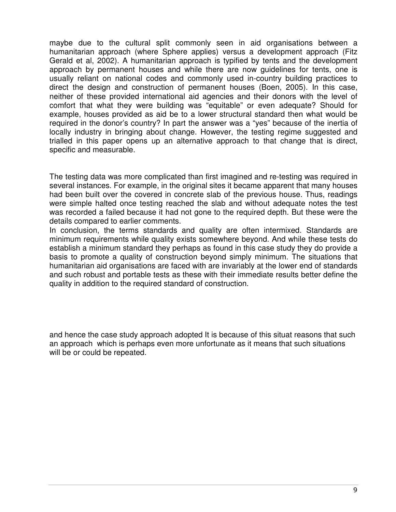maybe due to the cultural split commonly seen in aid organisations between a humanitarian approach (where Sphere applies) versus a development approach (Fitz Gerald et al, 2002). A humanitarian approach is typified by tents and the development approach by permanent houses and while there are now guidelines for tents, one is usually reliant on national codes and commonly used in-country building practices to direct the design and construction of permanent houses (Boen, 2005). In this case, neither of these provided international aid agencies and their donors with the level of comfort that what they were building was "equitable" or even adequate? Should for example, houses provided as aid be to a lower structural standard then what would be required in the donor's country? In part the answer was a "yes" because of the inertia of locally industry in bringing about change. However, the testing regime suggested and trialled in this paper opens up an alternative approach to that change that is direct, specific and measurable.

The testing data was more complicated than first imagined and re-testing was required in several instances. For example, in the original sites it became apparent that many houses had been built over the covered in concrete slab of the previous house. Thus, readings were simple halted once testing reached the slab and without adequate notes the test was recorded a failed because it had not gone to the required depth. But these were the details compared to earlier comments.

In conclusion, the terms standards and quality are often intermixed. Standards are minimum requirements while quality exists somewhere beyond. And while these tests do establish a minimum standard they perhaps as found in this case study they do provide a basis to promote a quality of construction beyond simply minimum. The situations that humanitarian aid organisations are faced with are invariably at the lower end of standards and such robust and portable tests as these with their immediate results better define the quality in addition to the required standard of construction.

and hence the case study approach adopted It is because of this situat reasons that such an approach which is perhaps even more unfortunate as it means that such situations will be or could be repeated.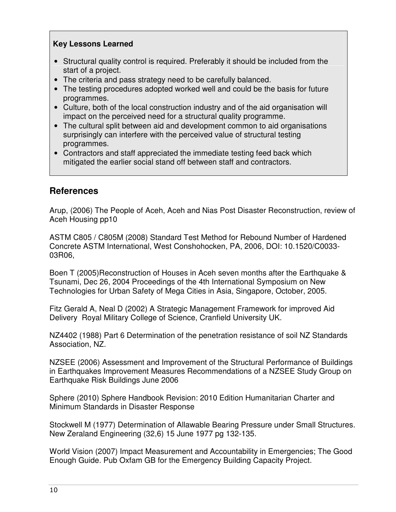### **Key Lessons Learned**

- Structural quality control is required. Preferably it should be included from the start of a project.
- The criteria and pass strategy need to be carefully balanced.
- The testing procedures adopted worked well and could be the basis for future programmes.
- Culture, both of the local construction industry and of the aid organisation will impact on the perceived need for a structural quality programme.
- The cultural split between aid and development common to aid organisations surprisingly can interfere with the perceived value of structural testing programmes.
- Contractors and staff appreciated the immediate testing feed back which mitigated the earlier social stand off between staff and contractors.

# **References**

Arup, (2006) The People of Aceh, Aceh and Nias Post Disaster Reconstruction, review of Aceh Housing pp10

ASTM C805 / C805M (2008) Standard Test Method for Rebound Number of Hardened Concrete ASTM International, West Conshohocken, PA, 2006, DOI: 10.1520/C0033- 03R06,

Boen T (2005)Reconstruction of Houses in Aceh seven months after the Earthquake & Tsunami, Dec 26, 2004 Proceedings of the 4th International Symposium on New Technologies for Urban Safety of Mega Cities in Asia, Singapore, October, 2005.

Fitz Gerald A, Neal D (2002) A Strategic Management Framework for improved Aid Delivery Royal Military College of Science, Cranfield University UK.

NZ4402 (1988) Part 6 Determination of the penetration resistance of soil NZ Standards Association, NZ.

NZSEE (2006) Assessment and Improvement of the Structural Performance of Buildings in Earthquakes Improvement Measures Recommendations of a NZSEE Study Group on Earthquake Risk Buildings June 2006

Sphere (2010) Sphere Handbook Revision: 2010 Edition Humanitarian Charter and Minimum Standards in Disaster Response

Stockwell M (1977) Determination of Allawable Bearing Pressure under Small Structures. New Zeraland Engineering (32,6) 15 June 1977 pg 132-135.

World Vision (2007) Impact Measurement and Accountability in Emergencies; The Good Enough Guide. Pub Oxfam GB for the Emergency Building Capacity Project.